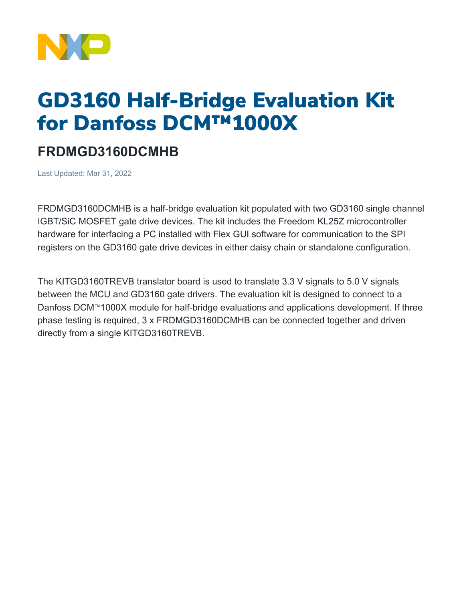

## GD3160 Half-Bridge Evaluation Kit for Danfoss DCM™1000X

## **FRDMGD3160DCMHB**

Last Updated: Mar 31, 2022

FRDMGD3160DCMHB is a half-bridge evaluation kit populated with two GD3160 single channel IGBT/SiC MOSFET gate drive devices. The kit includes the Freedom KL25Z microcontroller hardware for interfacing a PC installed with Flex GUI software for communication to the SPI registers on the GD3160 gate drive devices in either daisy chain or standalone configuration.

The KITGD3160TREVB translator board is used to translate 3.3 V signals to 5.0 V signals between the MCU and GD3160 gate drivers. The evaluation kit is designed to connect to a Danfoss DCM™1000X module for half-bridge evaluations and applications development. If three phase testing is required, 3 x FRDMGD3160DCMHB can be connected together and driven directly from a single KITGD3160TREVB.